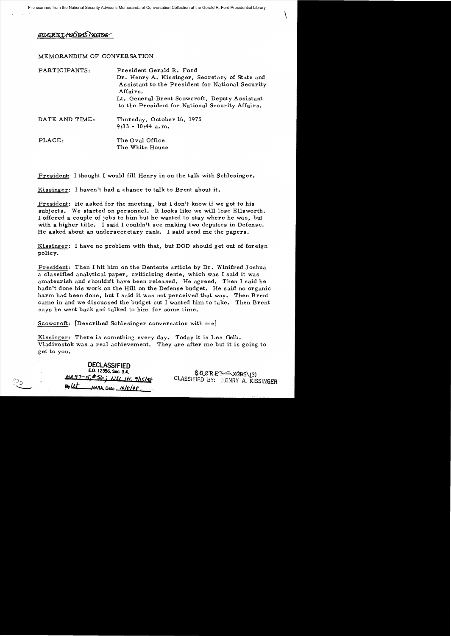## SECRET/NODIS/XGDS

## MEMORANDUM OF CONVERSATION

| PARTICIPANTS:  | President Gerald R. Ford<br>Dr. Henry A. Kissinger, Secretary of State and<br>Assistant to the President for National Security<br>Affairs.<br>Lt. General Brent Scowcroft, Deputy Assistant<br>to the President for National Security Affairs. |
|----------------|------------------------------------------------------------------------------------------------------------------------------------------------------------------------------------------------------------------------------------------------|
| DATE AND TIME: | Thursday, October 16, 1975<br>$9:33 - 10:44$ a.m.                                                                                                                                                                                              |
| PLACE:         | The Oval Office<br>The White House                                                                                                                                                                                                             |

President: I thought I would fill Henry in on the talk with Schlesinger.

Kissinger: I haven't had a chance to talk to Brent about it.

President: He asked for the meeting, but I don't know if we got to his subjects. We started on personnel. It looks like we will lose Ellsworth. I offered a couple of jobs to him but he wanted to stay where he was, but with a higher title. I said I couldn't see making two deputies in Defense. He asked about an undersecretary rank. I said send me the papers.

Kissinger: I have no problem with that, but DOD should get out of foreign policy.

President: Then I hit him on the Dentente article by Dr. Winifred Joshua a classified analytical paper, criticizing dente, which was I said it was amateurish and shouldn't have been released. He agreed. Then I said he hadn't done his work on the Hill on the Defense budget. He said no organic harm had been done, but I said it was not perceived that way. Then Brent came in and we discussed the budget cut I wanted him to take. Then Brent says he went back and talked to him for some time.

Scowcroft: [Described Schlesinger conversation with me]

Kissinger: There is something every day. Today it is Les Gelb. Vladivostok was a real achievement. They are after me but it is going to get to you.

|                               | DECLASSIFIED<br>E.O. 12356, Sec. 3.4. |
|-------------------------------|---------------------------------------|
| $\mathcal{F}_{\mathcal{K}_k}$ | MR97-15 \$56; NSC 1tr, 9/15/98        |
|                               | By $4t$ NARA, Date $10/e/q$           |

SACRET WODS (3)<br>CLASSIFIED BY: HENRY A. KISSINGER

 $\int$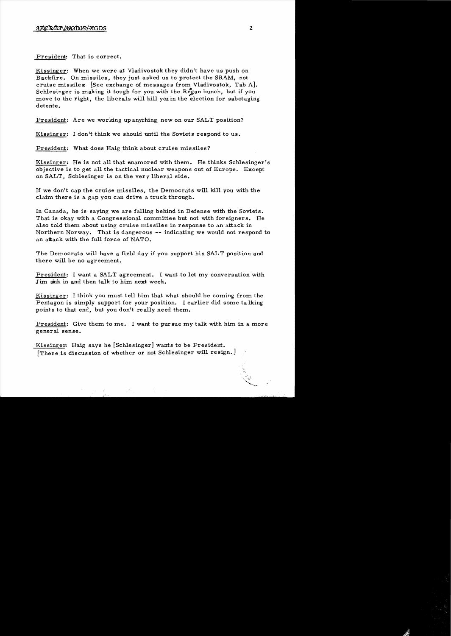President: That is correct.

Kissinger: When we were at Vladivostok they didn't have us push on Backfire. On missiles, they just asked us to protect the SRAM, not cruise missiles: [See exchange of messages from Vladivostok, Tab A]. Schlesinger is making it tough for you with the Regan bunch, but if you move to the right, the liberals will kill you in the election for sabotaging detente.

President: Are we working up anything new on our SALT position?

Kissinger: I don't think we should until the Soviets respond to us.

President: What does Haig think about cruise missiles?

Kissinger: He is not all that enamored with them. He thinks Schlesinger's objective is to get all the tactical nuclear weapons out of Europe. Except on SALT, Schlesinger is on the very liberal side.

If we don't cap the cruise missiles, the Democrats will kill you with the claim there is a gap you can drive a truck through.

In Canada, he is saying we are falling behind in Defense with the Soviets. That is okay with a Congressional committee but not with foreigners. He also told them about using cruise missiles in response to an attack in Northern Norway. That is dangerous **--** indicating we would not respond to an attack with the full force of NATO.

The Democrats will have a field day if you support his SALT position and there will be no agreement.

President: I want a SALT agreement. I want to let my conversation with Jim sink in and then talk to him next week.

Kissinger: I think you must tell him that what should be coming from the Pentagon is simply support for your position. I earlier did some talking points to that end, but you don't really need them.

President: Give them to me. I want to pursue my talk with him in a more general sense.

Kissinger. Haig says he [Schlesinger] wants to be President. [There is discussion of whether or not Schlesinger will resign.]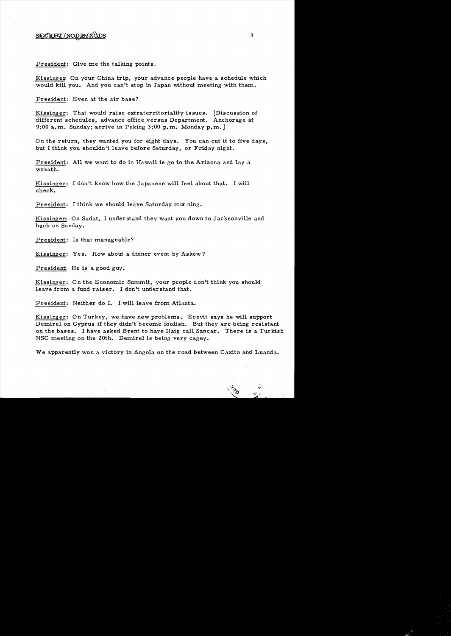## SECRET/NODIS/XODS

President: Give me the talking points.

Kissinger On your China trip, your advance people have a schedule which would kill you. And you can't stop in Japan without meeting with them.

President: Even at the air base?

Kissinger: That would raise extraterritoriality is sues. [Discussion of different schedules, advance office versus Department. Anchorage at 9:00 a.m. Sunday; arrive in Peking 3:00 p.m. Monday p.m.]

On the return, they wanted you for eight days. You can cut it to five days, but I think you shouldn't leave before Saturday, or Friday night.

President: All we want to do in Hawaii is go to the Arizona and lay a wreath.

Kissinger: I don't know how the Japanese will feel about that. I will check.

President: I think we should leave Saturday morning.

Kissinger: On Sadat, I understand they want you down to Jacksonville and back on Sunday.

President: Is that manageable?

Kissinger: Yes. How about a dinner event by Askew?

President: He is a good guy.

Kissinger: On the Economic Summit, your people don't think you should leave from a fund raiser. I don't understand that.

President: Neither do I. I will leave from Atlanta.

Kissinger: On Turkey, we have new problems. Ecevit says he will support Demirel on Cyprus if they didn't become foolish. But they are being resistant on the bases. I have asked Brent to have Haig call Sancar. There is a Turkish NSC meeting on the 20th. Demirel is being very cagey.

We apparently won a victory in Angola on the road between Caxito and Luanda.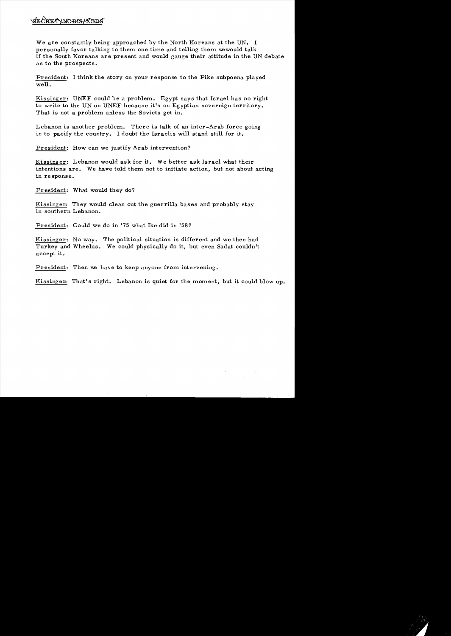## CRETYNODIS/XCD

We are constantly being approached by the North Koreans at the UN. I personally favor talking to them one time and telling them wewould talk if the South Koreans are present and would gauge their attitude in the UN debate as to the prospects.

President: I think the story on your response to the Pike subpoena played well.

Kissinger: UNEF could be a problem. Egypt says that Israel has no right to write to the UN on UNEF because it's on Egyptian sovereign territory. That is not a problem unless the Soviets get in.

Lebanon is another problem. There is talk of an inter-Arab force going in to pacify the country. I doubt the Israelis will stand still for it.

President: How can we justify Arab intervention?

Kissinger: Lebanon would ask for it. We better ask Israel what their intentions are. We have told them not to initiate action, but not about acting in response.

President: What would they do?

Kissinger: They would clean out the guerrilla bases and probably stay in southern Lebanon.

President: Could we do in '75 what Ike did in '58?

Kissinger: No way. The political situation is different and we then had Turkey and Wheelus. We could physically do it, but even Sadat couldn't accept it.

President: Then we have to keep anyone from intervening.

Kissinger: That's right. Lebanon is quiet for the moment, but it could blow up.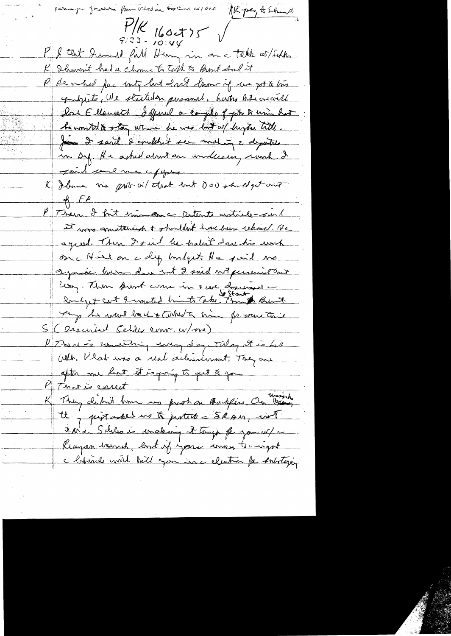$\frac{1}{\frac{1}{2}}$ (Kpag to Schull P. & that I und full Henry in one talk of Sehho. K Ilawan't had a chome to Talk to Bont about it P As on had fac unty but don't burn if we got to line gandquite, We strutuden personnel, hartes bits overwill lat Elleweith Isfinil a couple of get to him hat he wonted to stay where he was lost of hyper title Juin 2 said 2 couldn't ser maling 2 deputate in sy. He asked about an indecase, rund & Joil jureme epyses. K Ilma me probable tract ent downstand get one  $\n *f*$ P Then I fint trin an a Detente certicle-surl It was quatteriant & shouldn't have been relieved. He agreed. Then I find he habit dare his work on Nied on coly budgets the said me symic harm down int 2 said not persevise ant Long. Then Aunt come in a cere discussed -Sonly + cent & wanted birth Take Though Bunt Tay he want back + control min for more tail S (Descented Schles Comm. W/me) K There is unathing every day, Talky it is had Olt. Vlat was a real achievement. They are after me hut it sagonig to get to you P Thoris caret K They didn't have us proban Backfine, On worsh tt pistaked in to portett - SRAM, wit CANs. Schles is enaking it try for you of a Regram tranch lost if you was to ingot a habituale coutil bill you in a electric for substageing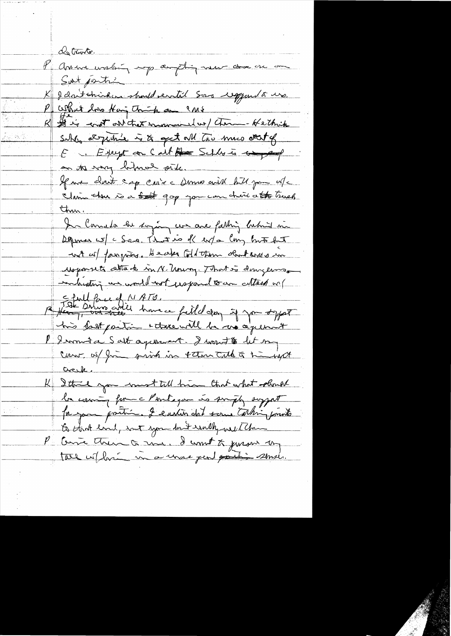de trante. l'avenua uneloire experigent mes au mon Sut jointi X J don't strinken should entit som reggent a us. What does Hai Think an IMS I is cont on that incommender (Tom- Hethik suble expertise is to get all two muce det of E ... Except con Call Are Schles is any page on the way befored pite. If we cloud cap croise Domes with bill join oute Shim there is a soft gop you can choice atto trues In Canada her sogen com are fathing behind in Depones w c Sea. That is of ev/a long but het wit as farging. He also told them obtained in Mejournet attack in N. Uning. That is doingerme inhesting an would not usefound to an attach or Efull fore of NATO.<br>A fleur sino anti have a filled day if you sypat his fast partir + there will be no agreement P Immite Salt agreement. I want to let my Caro of fine print in them talk & himself Creek. K Ithink you must tell him that what should la comming forme Partagan no surply support for you proting I easier dat some talking franks to that eard, not you but walk, and the P Courte their Q and, I want to jurous my tal when in a unse per portion sense.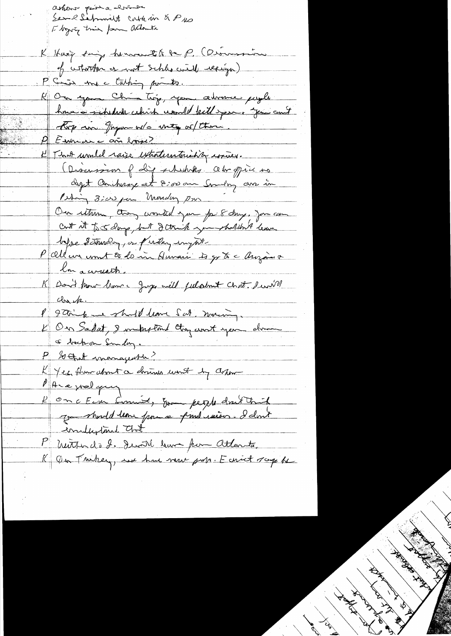ashers prise elsime Service Siefmond to conte in & Pus I bygging trie for attanti K Hary says hermanth to P. (Disminim of whorther or work schles will requiga) P Sin me Euching points. K On your China trop, your advance payer how is schedude which would kill your you and Roy an gryon or o meg or them. E That unable raise extrationtaining routies. Discussion of Lip schedules. Outro office no dyt Anchenge et 8:00 au Goulog avec in Our uttion, they wonted you for 8 days, you can cut it to 5 days, but I think you shallon't leave before determined any partir and the P alleur unit 20 de me Auvais 4 gr & c Auzaier lon a circuits. K Don't from home Juge will julatment chat survive che p. P 9 Tring me should leave Sat, moing. a bochon Smaling.  $P_{\perp}$ So that managearter? KYez, flumationnet a domines wont by asson PALE welgung l'On c Ein Conniet, Even people dont trich emplistant Chat P menter de 2. Devill hum from Atlanta,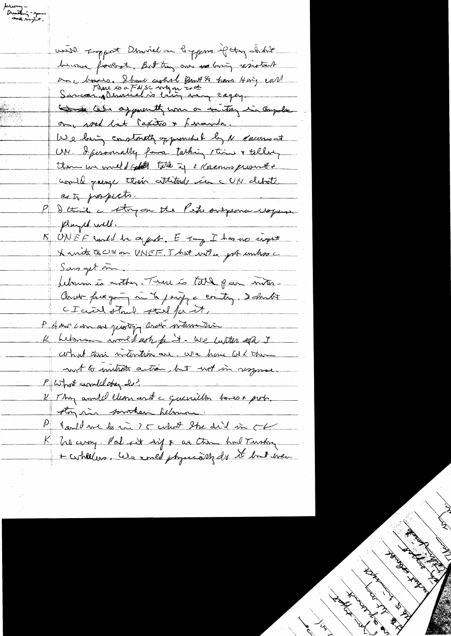with support Denviel on Coppers of they short because foologite, But they are no busing resistant an choices. I have agained Burt A have Hary cart the letter of pour the come or the six ongola on sont lat capitro + franch. We having constructly opportunities by N Callinis at UM. I peromally forme tarking this & talley them we would get take if I Koemis prove usail quize their attitude in c U/Y debate esto prospecto. P D this i stry on the Pepe onexemandopen played will. BUNEF uned he appel. Et of I has no signt X mit ECINO DO VNEF J hut with your unhase  $S_{\alpha\beta} = \frac{1}{\sqrt{2\pi}}$ Library is orther. That is tall par with Onde face going in to paring a contry, I don't CICLENATION stall for it, P dan com au protin avoir voteur tri K between world och fint. We will er i coment this intention are we have all them not a mitiate action, but not in response P What could they do? K They anniel clean and a quanition town & port. they sin sorrition believe Paul de la rue de me la de la rue de la villa de la Compte K Tre cermy. Pal sit sig & ar Ction had Turskay

ferang -<br>Dinstant - special